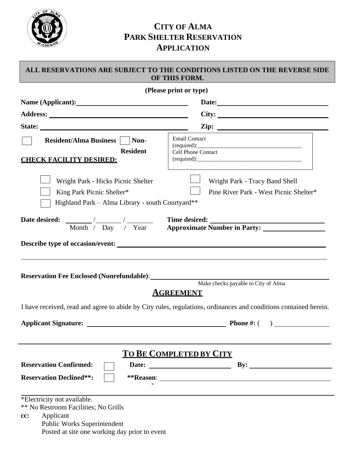

## **CITY OF ALMA PARK SHELTER RESERVATION APPLICATION**

## **ALL RESERVATIONS ARE SUBJECT TO THE CONDITIONS LISTED ON THE REVERSE SIDE OF THIS FORM.**

| (Please print or type)                                                                                                                                                  |                                                                          |  |
|-------------------------------------------------------------------------------------------------------------------------------------------------------------------------|--------------------------------------------------------------------------|--|
|                                                                                                                                                                         |                                                                          |  |
|                                                                                                                                                                         |                                                                          |  |
|                                                                                                                                                                         |                                                                          |  |
| <b>Resident/Alma Business</b><br>Non-<br><b>Resident</b><br><b>CHECK FACILITY DESIRED:</b>                                                                              | <b>Email Contact</b><br>Cell Phone Contact                               |  |
| Wright Park - Hicks Picnic Shelter<br>King Park Picnic Shelter*<br>Highland Park - Alma Library - south Courtyard**                                                     | Wright Park - Tracy Band Shell<br>Pine River Park - West Picnic Shelter* |  |
|                                                                                                                                                                         | Date desired: Month / Day / Year Time desired: Mumber in Party:          |  |
| Describe type of occasion/event:                                                                                                                                        |                                                                          |  |
| Make checks payable to City of Alma<br><u>AGREEMENT</u>                                                                                                                 |                                                                          |  |
| I have received, read and agree to abide by City rules, regulations, ordinances and conditions contained herein.                                                        |                                                                          |  |
|                                                                                                                                                                         |                                                                          |  |
| TO BE COMPLETED BY CITY<br><b>Reservation Confirmed:</b><br>$\mathbf{By:}$                                                                                              |                                                                          |  |
| <b>Reservation Declined**:</b>                                                                                                                                          |                                                                          |  |
|                                                                                                                                                                         |                                                                          |  |
| *Electricity not available.<br>** No Restroom Facilities; No Grills<br>Applicant<br>cc:<br>Public Works Superintendent<br>Posted at site one working day prior to event |                                                                          |  |